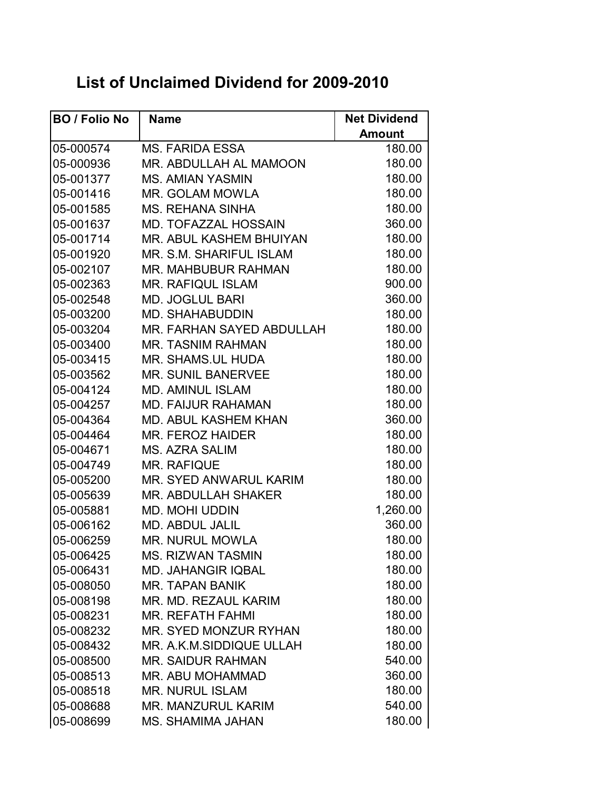## **List of Unclaimed Dividend for 2009-2010**

| <b>BO / Folio No</b> | <b>Name</b>                  | <b>Net Dividend</b> |
|----------------------|------------------------------|---------------------|
|                      |                              | <b>Amount</b>       |
| 05-000574            | <b>MS. FARIDA ESSA</b>       | 180.00              |
| 05-000936            | MR. ABDULLAH AL MAMOON       | 180.00              |
| 05-001377            | <b>MS. AMIAN YASMIN</b>      | 180.00              |
| 05-001416            | <b>MR. GOLAM MOWLA</b>       | 180.00              |
| 05-001585            | <b>MS. REHANA SINHA</b>      | 180.00              |
| 05-001637            | MD. TOFAZZAL HOSSAIN         | 360.00              |
| 05-001714            | MR. ABUL KASHEM BHUIYAN      | 180.00              |
| 05-001920            | MR. S.M. SHARIFUL ISLAM      | 180.00              |
| 05-002107            | MR. MAHBUBUR RAHMAN          | 180.00              |
| 05-002363            | <b>MR. RAFIQUL ISLAM</b>     | 900.00              |
| 05-002548            | <b>MD. JOGLUL BARI</b>       | 360.00              |
| 05-003200            | <b>MD. SHAHABUDDIN</b>       | 180.00              |
| 05-003204            | MR. FARHAN SAYED ABDULLAH    | 180.00              |
| 05-003400            | <b>MR. TASNIM RAHMAN</b>     | 180.00              |
| 05-003415            | MR. SHAMS.UL HUDA            | 180.00              |
| 05-003562            | <b>MR. SUNIL BANERVEE</b>    | 180.00              |
| 05-004124            | <b>MD. AMINUL ISLAM</b>      | 180.00              |
| 05-004257            | <b>MD. FAIJUR RAHAMAN</b>    | 180.00              |
| 05-004364            | MD. ABUL KASHEM KHAN         | 360.00              |
| 05-004464            | MR. FEROZ HAIDER             | 180.00              |
| 05-004671            | MS. AZRA SALIM               | 180.00              |
| 05-004749            | <b>MR. RAFIQUE</b>           | 180.00              |
| 05-005200            | MR. SYED ANWARUL KARIM       | 180.00              |
| 05-005639            | MR. ABDULLAH SHAKER          | 180.00              |
| 05-005881            | <b>MD. MOHI UDDIN</b>        | 1,260.00            |
| 05-006162            | <b>MD. ABDUL JALIL</b>       | 360.00              |
| 05-006259            | <b>MR. NURUL MOWLA</b>       | 180.00              |
| 05-006425            | <b>MS. RIZWAN TASMIN</b>     | 180.00              |
| 05-006431            | <b>MD. JAHANGIR IQBAL</b>    | 180.00              |
| 05-008050            | <b>MR. TAPAN BANIK</b>       | 180.00              |
| 05-008198            | MR. MD. REZAUL KARIM         | 180.00              |
| 05-008231            | <b>MR. REFATH FAHMI</b>      | 180.00              |
| 05-008232            | <b>MR. SYED MONZUR RYHAN</b> | 180.00              |
| 05-008432            | MR. A.K.M.SIDDIQUE ULLAH     | 180.00              |
| 05-008500            | <b>MR. SAIDUR RAHMAN</b>     | 540.00              |
| 05-008513            | MR. ABU MOHAMMAD             | 360.00              |
| 05-008518            | <b>MR. NURUL ISLAM</b>       | 180.00              |
| 05-008688            | <b>MR. MANZURUL KARIM</b>    | 540.00              |
| 05-008699            | <b>MS. SHAMIMA JAHAN</b>     | 180.00              |